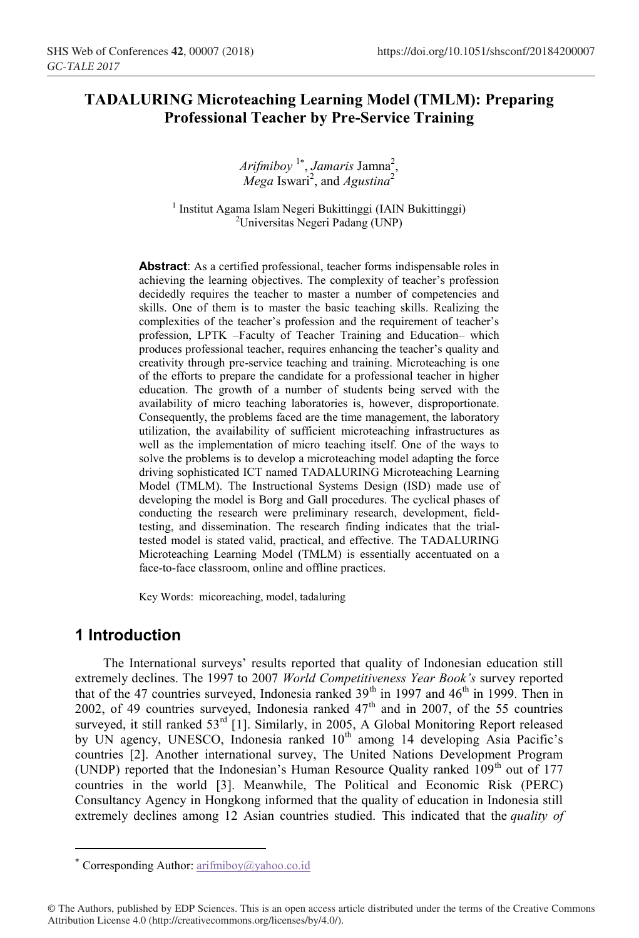# **TADALURING Microteaching Learning Model (TMLM): Preparing Professional Teacher by Pre-Service Training**

Arifmiboy <sup>1\*</sup>, Jamaris Jamna<sup>2</sup>, *Mega* Iswari<sup>2</sup>, and *Agustina*<sup>2</sup>

<sup>1</sup> Institut Agama Islam Negeri Bukittinggi (IAIN Bukittinggi) Universitas Negeri Padang (UNP)

**Abstract**: As a certified professional, teacher forms indispensable roles in achieving the learning objectives. The complexity of teacher's profession decidedly requires the teacher to master a number of competencies and skills. One of them is to master the basic teaching skills. Realizing the complexities of the teacher's profession and the requirement of teacher's profession, LPTK –Faculty of Teacher Training and Education– which produces professional teacher, requires enhancing the teacher's quality and creativity through pre-service teaching and training. Microteaching is one of the efforts to prepare the candidate for a professional teacher in higher education. The growth of a number of students being served with the availability of micro teaching laboratories is, however, disproportionate. Consequently, the problems faced are the time management, the laboratory utilization, the availability of sufficient microteaching infrastructures as well as the implementation of micro teaching itself. One of the ways to solve the problems is to develop a microteaching model adapting the force driving sophisticated ICT named TADALURING Microteaching Learning Model (TMLM). The Instructional Systems Design (ISD) made use of developing the model is Borg and Gall procedures. The cyclical phases of conducting the research were preliminary research, development, fieldtesting, and dissemination. The research finding indicates that the trialtested model is stated valid, practical, and effective. The TADALURING Microteaching Learning Model (TMLM) is essentially accentuated on a face-to-face classroom, online and offline practices.

Key Words: micoreaching, model, tadaluring

## **1 Introduction**

 $\overline{a}$ 

The International surveys' results reported that quality of Indonesian education still extremely declines. The 1997 to 2007 *World Competitiveness Year Book's* survey reported that of the 47 countries surveyed, Indonesia ranked  $39<sup>th</sup>$  in 1997 and  $46<sup>th</sup>$  in 1999. Then in 2002, of 49 countries surveyed, Indonesia ranked  $47<sup>th</sup>$  and in 2007, of the 55 countries surveyed, it still ranked 53<sup>rd</sup> [1]. Similarly, in 2005, A Global Monitoring Report released by UN agency, UNESCO, Indonesia ranked 10<sup>th</sup> among 14 developing Asia Pacific's countries [2]. Another international survey, The United Nations Development Program (UNDP) reported that the Indonesian's Human Resource Quality ranked  $109<sup>th</sup>$  out of 177 countries in the world [3]. Meanwhile, The Political and Economic Risk (PERC) Consultancy Agency in Hongkong informed that the quality of education in Indonesia still extremely declines among 12 Asian countries studied. This indicated that the *quality of* 

Corresponding Author: arifmiboy@yahoo.co.id

<sup>©</sup> The Authors, published by EDP Sciences. This is an open access article distributed under the terms of the Creative Commons Attribution License 4.0 (http://creativecommons.org/licenses/by/4.0/).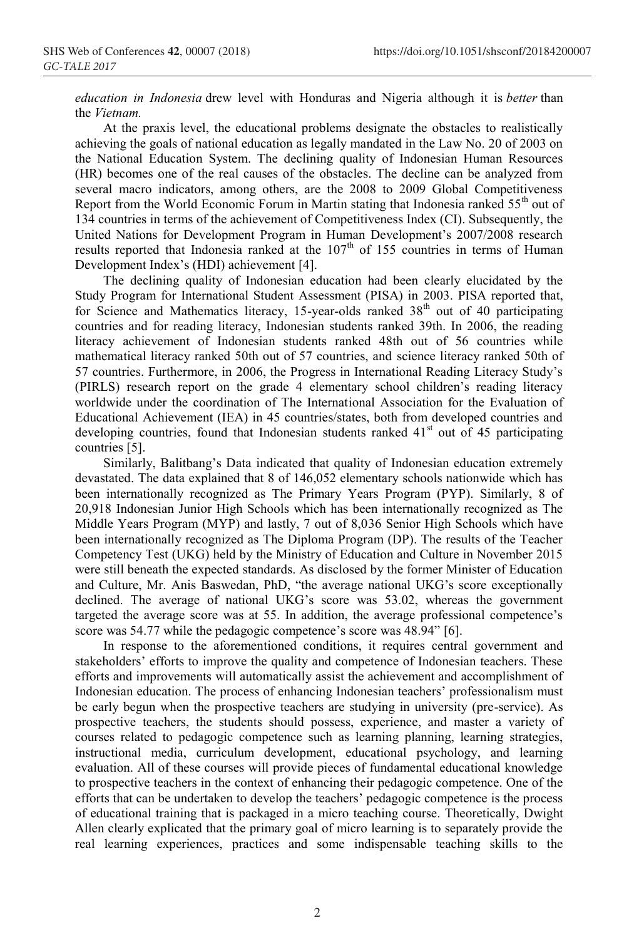*education in Indonesia* drew level with Honduras and Nigeria although it is *better* than the *Vietnam.* 

At the praxis level, the educational problems designate the obstacles to realistically achieving the goals of national education as legally mandated in the Law No. 20 of 2003 on the National Education System. The declining quality of Indonesian Human Resources (HR) becomes one of the real causes of the obstacles. The decline can be analyzed from several macro indicators, among others, are the 2008 to 2009 Global Competitiveness Report from the World Economic Forum in Martin stating that Indonesia ranked  $55<sup>th</sup>$  out of 134 countries in terms of the achievement of Competitiveness Index (CI). Subsequently, the United Nations for Development Program in Human Development's 2007/2008 research results reported that Indonesia ranked at the 107<sup>th</sup> of 155 countries in terms of Human Development Index's (HDI) achievement [4].

The declining quality of Indonesian education had been clearly elucidated by the Study Program for International Student Assessment (PISA) in 2003. PISA reported that, for Science and Mathematics literacy, 15-year-olds ranked  $38<sup>th</sup>$  out of 40 participating countries and for reading literacy, Indonesian students ranked 39th. In 2006, the reading literacy achievement of Indonesian students ranked 48th out of 56 countries while mathematical literacy ranked 50th out of 57 countries, and science literacy ranked 50th of 57 countries. Furthermore, in 2006, the Progress in International Reading Literacy Study's (PIRLS) research report on the grade 4 elementary school children's reading literacy worldwide under the coordination of The International Association for the Evaluation of Educational Achievement (IEA) in 45 countries/states, both from developed countries and developing countries, found that Indonesian students ranked  $41<sup>st</sup>$  out of 45 participating countries [5].

Similarly, Balitbang's Data indicated that quality of Indonesian education extremely devastated. The data explained that 8 of 146,052 elementary schools nationwide which has been internationally recognized as The Primary Years Program (PYP). Similarly, 8 of 20,918 Indonesian Junior High Schools which has been internationally recognized as The Middle Years Program (MYP) and lastly, 7 out of 8,036 Senior High Schools which have been internationally recognized as The Diploma Program (DP). The results of the Teacher Competency Test (UKG) held by the Ministry of Education and Culture in November 2015 were still beneath the expected standards. As disclosed by the former Minister of Education and Culture, Mr. Anis Baswedan, PhD, "the average national UKG's score exceptionally declined. The average of national UKG's score was 53.02, whereas the government targeted the average score was at 55. In addition, the average professional competence's score was 54.77 while the pedagogic competence's score was 48.94" [6].

In response to the aforementioned conditions, it requires central government and stakeholders' efforts to improve the quality and competence of Indonesian teachers. These efforts and improvements will automatically assist the achievement and accomplishment of Indonesian education. The process of enhancing Indonesian teachers' professionalism must be early begun when the prospective teachers are studying in university (pre-service). As prospective teachers, the students should possess, experience, and master a variety of courses related to pedagogic competence such as learning planning, learning strategies, instructional media, curriculum development, educational psychology, and learning evaluation. All of these courses will provide pieces of fundamental educational knowledge to prospective teachers in the context of enhancing their pedagogic competence. One of the efforts that can be undertaken to develop the teachers' pedagogic competence is the process of educational training that is packaged in a micro teaching course. Theoretically, Dwight Allen clearly explicated that the primary goal of micro learning is to separately provide the real learning experiences, practices and some indispensable teaching skills to the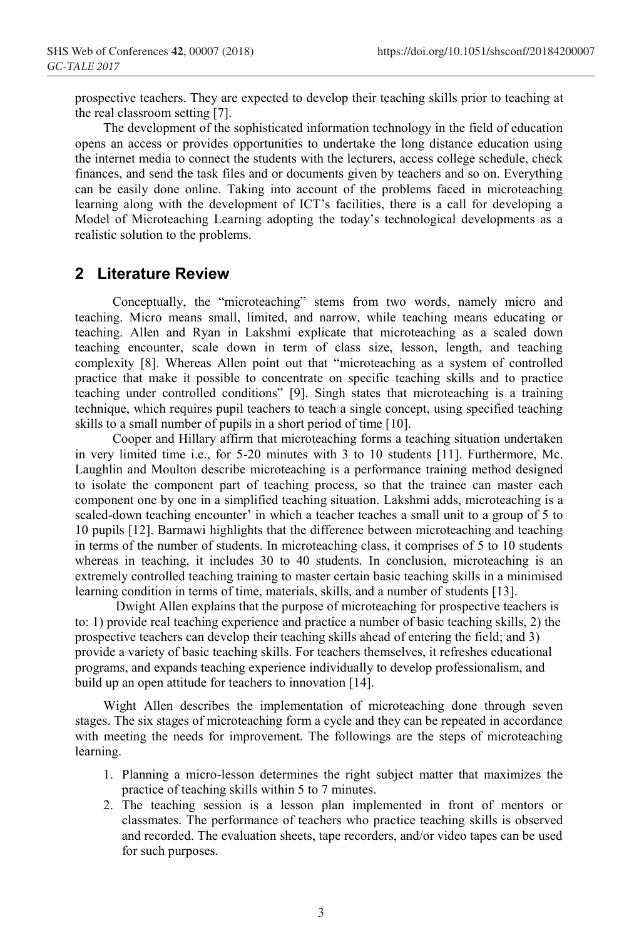prospective teachers. They are expected to develop their teaching skills prior to teaching at the real classroom setting [7].

The development of the sophisticated information technology in the field of education opens an access or provides opportunities to undertake the long distance education using the internet media to connect the students with the lecturers, access college schedule, check finances, and send the task files and or documents given by teachers and so on. Everything can be easily done online. Taking into account of the problems faced in microteaching learning along with the development of ICT's facilities, there is a call for developing a Model of Microteaching Learning adopting the today's technological developments as a realistic solution to the problems.

## **2 Literature Review**

Conceptually, the "microteaching" stems from two words, namely micro and teaching. Micro means small, limited, and narrow, while teaching means educating or teaching. Allen and Ryan in Lakshmi explicate that microteaching as a scaled down teaching encounter, scale down in term of class size, lesson, length, and teaching complexity [8]. Whereas Allen point out that "microteaching as a system of controlled practice that make it possible to concentrate on specific teaching skills and to practice teaching under controlled conditions" [9]. Singh states that microteaching is a training technique, which requires pupil teachers to teach a single concept, using specified teaching skills to a small number of pupils in a short period of time [10].

Cooper and Hillary affirm that microteaching forms a teaching situation undertaken in very limited time i.e., for 5-20 minutes with 3 to 10 students [11]. Furthermore, Mc. Laughlin and Moulton describe microteaching is a performance training method designed to isolate the component part of teaching process, so that the trainee can master each component one by one in a simplified teaching situation. Lakshmi adds, microteaching is a scaled-down teaching encounter' in which a teacher teaches a small unit to a group of 5 to 10 pupils [12]. Barmawi highlights that the difference between microteaching and teaching in terms of the number of students. In microteaching class, it comprises of 5 to 10 students whereas in teaching, it includes 30 to 40 students. In conclusion, microteaching is an extremely controlled teaching training to master certain basic teaching skills in a minimised learning condition in terms of time, materials, skills, and a number of students [13].

Dwight Allen explains that the purpose of microteaching for prospective teachers is to: 1) provide real teaching experience and practice a number of basic teaching skills, 2) the prospective teachers can develop their teaching skills ahead of entering the field; and 3) provide a variety of basic teaching skills. For teachers themselves, it refreshes educational programs, and expands teaching experience individually to develop professionalism, and build up an open attitude for teachers to innovation [14].

Wight Allen describes the implementation of microteaching done through seven stages. The six stages of microteaching form a cycle and they can be repeated in accordance with meeting the needs for improvement. The followings are the steps of microteaching learning.

- 1. Planning a micro-lesson determines the right subject matter that maximizes the practice of teaching skills within 5 to 7 minutes.
- 2. The teaching session is a lesson plan implemented in front of mentors or classmates. The performance of teachers who practice teaching skills is observed and recorded. The evaluation sheets, tape recorders, and/or video tapes can be used for such purposes.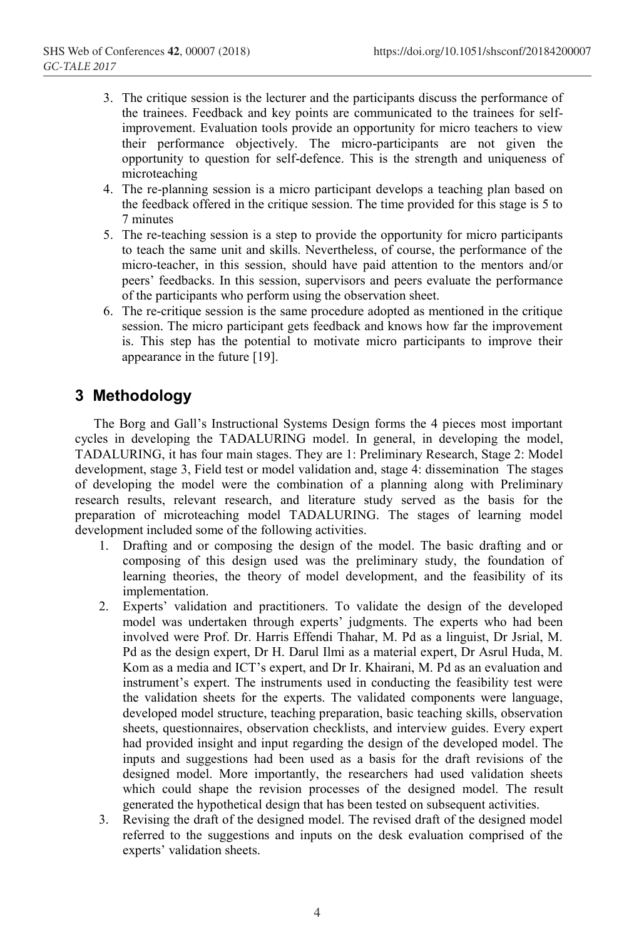- 3. The critique session is the lecturer and the participants discuss the performance of the trainees. Feedback and key points are communicated to the trainees for selfimprovement. Evaluation tools provide an opportunity for micro teachers to view their performance objectively. The micro-participants are not given the opportunity to question for self-defence. This is the strength and uniqueness of microteaching
- 4. The re-planning session is a micro participant develops a teaching plan based on the feedback offered in the critique session. The time provided for this stage is 5 to 7 minutes
- 5. The re-teaching session is a step to provide the opportunity for micro participants to teach the same unit and skills. Nevertheless, of course, the performance of the micro-teacher, in this session, should have paid attention to the mentors and/or peers' feedbacks. In this session, supervisors and peers evaluate the performance of the participants who perform using the observation sheet.
- 6. The re-critique session is the same procedure adopted as mentioned in the critique session. The micro participant gets feedback and knows how far the improvement is. This step has the potential to motivate micro participants to improve their appearance in the future [19].

# **3 Methodology**

The Borg and Gall's Instructional Systems Design forms the 4 pieces most important cycles in developing the TADALURING model. In general, in developing the model, TADALURING, it has four main stages. They are 1: Preliminary Research, Stage 2: Model development, stage 3, Field test or model validation and, stage 4: dissemination The stages of developing the model were the combination of a planning along with Preliminary research results, relevant research, and literature study served as the basis for the preparation of microteaching model TADALURING. The stages of learning model development included some of the following activities.

- 1. Drafting and or composing the design of the model. The basic drafting and or composing of this design used was the preliminary study, the foundation of learning theories, the theory of model development, and the feasibility of its implementation.
- 2. Experts' validation and practitioners. To validate the design of the developed model was undertaken through experts' judgments. The experts who had been involved were Prof. Dr. Harris Effendi Thahar, M. Pd as a linguist, Dr Jsrial, M. Pd as the design expert, Dr H. Darul Ilmi as a material expert, Dr Asrul Huda, M. Kom as a media and ICT's expert, and Dr Ir. Khairani, M. Pd as an evaluation and instrument's expert. The instruments used in conducting the feasibility test were the validation sheets for the experts. The validated components were language, developed model structure, teaching preparation, basic teaching skills, observation sheets, questionnaires, observation checklists, and interview guides. Every expert had provided insight and input regarding the design of the developed model. The inputs and suggestions had been used as a basis for the draft revisions of the designed model. More importantly, the researchers had used validation sheets which could shape the revision processes of the designed model. The result generated the hypothetical design that has been tested on subsequent activities.
- 3. Revising the draft of the designed model. The revised draft of the designed model referred to the suggestions and inputs on the desk evaluation comprised of the experts' validation sheets.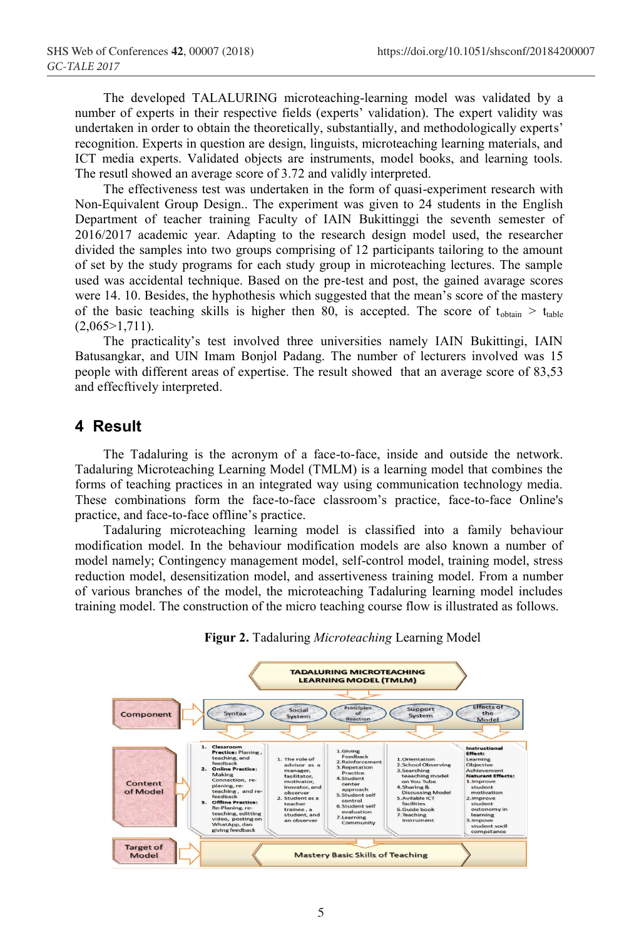The developed TALALURING microteaching-learning model was validated by a number of experts in their respective fields (experts' validation). The expert validity was undertaken in order to obtain the theoretically, substantially, and methodologically experts' recognition. Experts in question are design, linguists, microteaching learning materials, and ICT media experts. Validated objects are instruments, model books, and learning tools. The resutl showed an average score of 3.72 and validly interpreted.

The effectiveness test was undertaken in the form of quasi-experiment research with Non-Equivalent Group Design.. The experiment was given to 24 students in the English Department of teacher training Faculty of IAIN Bukittinggi the seventh semester of 2016/2017 academic year. Adapting to the research design model used, the researcher divided the samples into two groups comprising of 12 participants tailoring to the amount of set by the study programs for each study group in microteaching lectures. The sample used was accidental technique. Based on the pre-test and post, the gained avarage scores were 14. 10. Besides, the hyphothesis which suggested that the mean's score of the mastery of the basic teaching skills is higher then 80, is accepted. The score of  $t_{obtain} > t_{table}$  $(2,065>1,711)$ .

The practicality's test involved three universities namely IAIN Bukittingi, IAIN Batusangkar, and UIN Imam Bonjol Padang. The number of lecturers involved was 15 people with different areas of expertise. The result showed that an average score of 83,53 and effecftively interpreted.

# **4 Result**

The Tadaluring is the acronym of a face-to-face, inside and outside the network. Tadaluring Microteaching Learning Model (TMLM) is a learning model that combines the forms of teaching practices in an integrated way using communication technology media. These combinations form the face-to-face classroom's practice, face-to-face Online's practice, and face-to-face offline's practice.

Tadaluring microteaching learning model is classified into a family behaviour modification model. In the behaviour modification models are also known a number of model namely; Contingency management model, self-control model, training model, stress reduction model, desensitization model, and assertiveness training model. From a number of various branches of the model, the microteaching Tadaluring learning model includes training model. The construction of the micro teaching course flow is illustrated as follows.



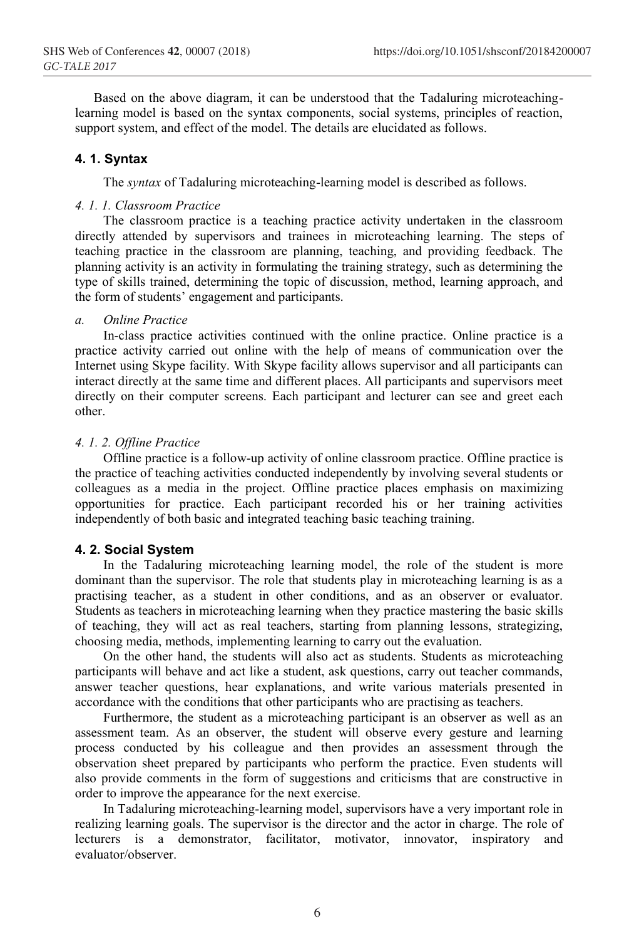Based on the above diagram, it can be understood that the Tadaluring microteachinglearning model is based on the syntax components, social systems, principles of reaction, support system, and effect of the model. The details are elucidated as follows.

#### **4. 1. Syntax**

The *syntax* of Tadaluring microteaching-learning model is described as follows.

### *4. 1. 1. Classroom Practice*

The classroom practice is a teaching practice activity undertaken in the classroom directly attended by supervisors and trainees in microteaching learning. The steps of teaching practice in the classroom are planning, teaching, and providing feedback. The planning activity is an activity in formulating the training strategy, such as determining the type of skills trained, determining the topic of discussion, method, learning approach, and the form of students' engagement and participants.

#### *a. Online Practice*

In-class practice activities continued with the online practice. Online practice is a practice activity carried out online with the help of means of communication over the Internet using Skype facility. With Skype facility allows supervisor and all participants can interact directly at the same time and different places. All participants and supervisors meet directly on their computer screens. Each participant and lecturer can see and greet each other.

#### *4. 1. 2. Offline Practice*

Offline practice is a follow-up activity of online classroom practice. Offline practice is the practice of teaching activities conducted independently by involving several students or colleagues as a media in the project. Offline practice places emphasis on maximizing opportunities for practice. Each participant recorded his or her training activities independently of both basic and integrated teaching basic teaching training.

#### **4. 2. Social System**

In the Tadaluring microteaching learning model, the role of the student is more dominant than the supervisor. The role that students play in microteaching learning is as a practising teacher, as a student in other conditions, and as an observer or evaluator. Students as teachers in microteaching learning when they practice mastering the basic skills of teaching, they will act as real teachers, starting from planning lessons, strategizing, choosing media, methods, implementing learning to carry out the evaluation.

On the other hand, the students will also act as students. Students as microteaching participants will behave and act like a student, ask questions, carry out teacher commands, answer teacher questions, hear explanations, and write various materials presented in accordance with the conditions that other participants who are practising as teachers.

Furthermore, the student as a microteaching participant is an observer as well as an assessment team. As an observer, the student will observe every gesture and learning process conducted by his colleague and then provides an assessment through the observation sheet prepared by participants who perform the practice. Even students will also provide comments in the form of suggestions and criticisms that are constructive in order to improve the appearance for the next exercise.

In Tadaluring microteaching-learning model, supervisors have a very important role in realizing learning goals. The supervisor is the director and the actor in charge. The role of lecturers is a demonstrator, facilitator, motivator, innovator, inspiratory and evaluator/observer.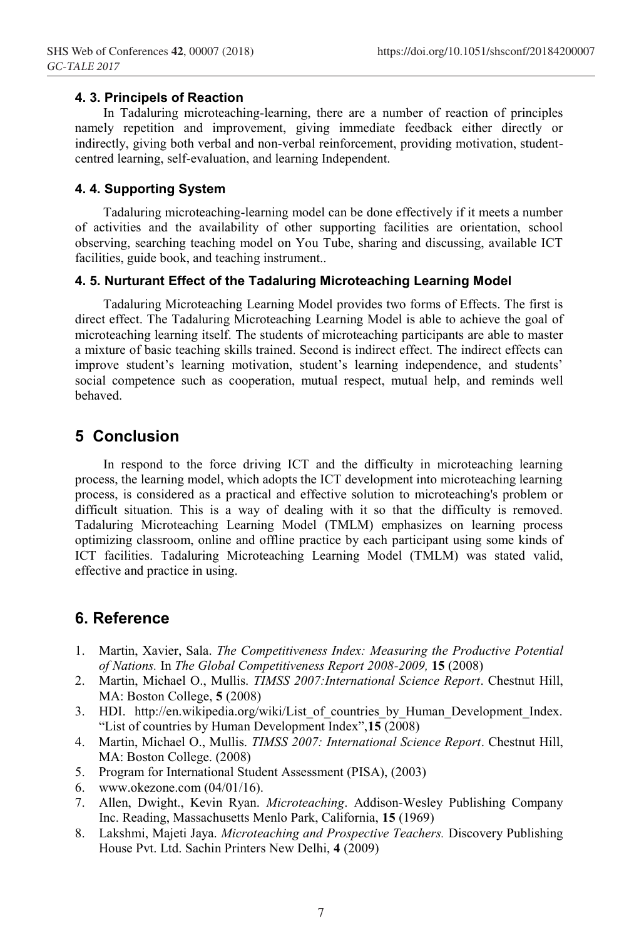### **4. 3. Principels of Reaction**

In Tadaluring microteaching-learning, there are a number of reaction of principles namely repetition and improvement, giving immediate feedback either directly or indirectly, giving both verbal and non-verbal reinforcement, providing motivation, studentcentred learning, self-evaluation, and learning Independent.

### **4. 4. Supporting System**

Tadaluring microteaching-learning model can be done effectively if it meets a number of activities and the availability of other supporting facilities are orientation, school observing, searching teaching model on You Tube, sharing and discussing, available ICT facilities, guide book, and teaching instrument..

### **4. 5. Nurturant Effect of the Tadaluring Microteaching Learning Model**

Tadaluring Microteaching Learning Model provides two forms of Effects. The first is direct effect. The Tadaluring Microteaching Learning Model is able to achieve the goal of microteaching learning itself. The students of microteaching participants are able to master a mixture of basic teaching skills trained. Second is indirect effect. The indirect effects can improve student's learning motivation, student's learning independence, and students' social competence such as cooperation, mutual respect, mutual help, and reminds well behaved.

## **5 Conclusion**

In respond to the force driving ICT and the difficulty in microteaching learning process, the learning model, which adopts the ICT development into microteaching learning process, is considered as a practical and effective solution to microteaching's problem or difficult situation. This is a way of dealing with it so that the difficulty is removed. Tadaluring Microteaching Learning Model (TMLM) emphasizes on learning process optimizing classroom, online and offline practice by each participant using some kinds of ICT facilities. Tadaluring Microteaching Learning Model (TMLM) was stated valid, effective and practice in using.

## **6. Reference**

- 1. Martin, Xavier, Sala. *The Competitiveness Index: Measuring the Productive Potential of Nations.* In *The Global Competitiveness Report 2008-2009,* **15** (2008)
- 2. Martin, Michael O., Mullis. *TIMSS 2007:International Science Report*. Chestnut Hill, MA: Boston College, **5** (2008)
- 3. HDI. http://en.wikipedia.org/wiki/List of countries by Human Development Index. "List of countries by Human Development Index",**15** (2008)
- 4. Martin, Michael O., Mullis. *TIMSS 2007: International Science Report*. Chestnut Hill, MA: Boston College. (2008)
- 5. Program for International Student Assessment (PISA), (2003)
- 6. www.okezone.com (04/01/16).
- 7. Allen, Dwight., Kevin Ryan. *Microteaching*. Addison-Wesley Publishing Company Inc. Reading, Massachusetts Menlo Park, California, **15** (1969)
- 8. Lakshmi, Majeti Jaya. *Microteaching and Prospective Teachers.* Discovery Publishing House Pvt. Ltd. Sachin Printers New Delhi, **4** (2009)